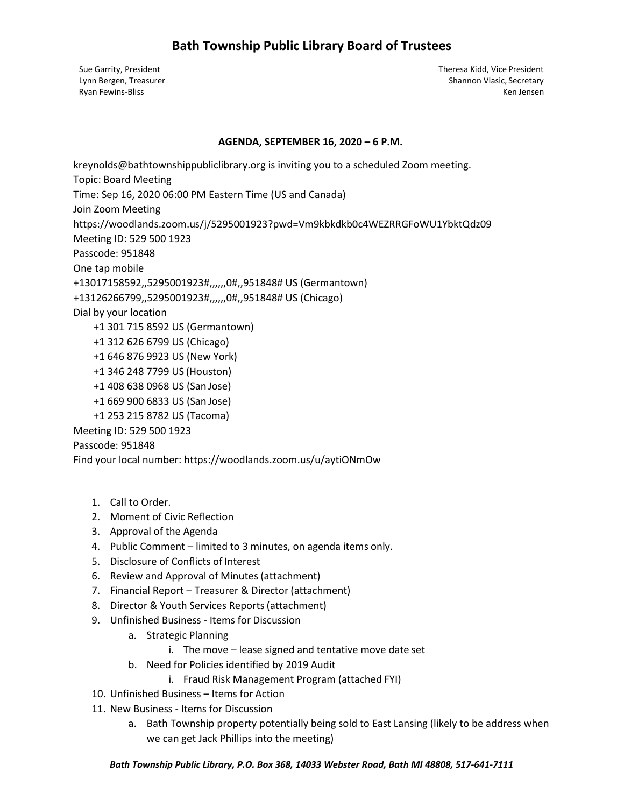# **Bath Township Public Library Board of Trustees**

Sue Garrity, President Theresa Kidd, Vice President Lynn Bergen, Treasurer Shannon Vlasic, Secretary Ryan Fewins-Bliss Ken Jensen (Ken Jensen in the Western Herbert Allen Schwarzer and Ken Jensen in Ken Jensen i

## **AGENDA, SEPTEMBER 16, 2020 – 6 P.M.**

[kreynolds@bathtownshippubliclibrary.org i](mailto:kreynolds@bathtownshippubliclibrary.org)s inviting you to a scheduled Zoom meeting. Topic: Board Meeting Time: Sep 16, 2020 06:00 PM Eastern Time (US and Canada) Join Zoom Meeting https://woodlands.zoom.us/j/5295001923?pwd=Vm9kbkdkb0c4WEZRRGFoWU1YbktQdz09 Meeting ID: 529 500 1923 Passcode: 951848 One tap mobile +13017158592,,5295001923#,,,,,,0#,,951848# US (Germantown) +13126266799,,5295001923#,,,,,,0#,,951848# US (Chicago) Dial by your location +1 301 715 8592 US (Germantown) +1 312 626 6799 US (Chicago) +1 646 876 9923 US (New York) +1 346 248 7799 US (Houston) +1 408 638 0968 US (San Jose) +1 669 900 6833 US (San Jose) +1 253 215 8782 US (Tacoma) Meeting ID: 529 500 1923 Passcode: 951848 Find your local number: https://woodlands.zoom.us/u/aytiONmOw

- 1. Call to Order.
- 2. Moment of Civic Reflection
- 3. Approval of the Agenda
- 4. Public Comment limited to 3 minutes, on agenda items only.
- 5. Disclosure of Conflicts of Interest
- 6. Review and Approval of Minutes (attachment)
- 7. Financial Report Treasurer & Director (attachment)
- 8. Director & Youth Services Reports(attachment)
- 9. Unfinished Business Items for Discussion
	- a. Strategic Planning
		- i. The move lease signed and tentative move date set
	- b. Need for Policies identified by 2019 Audit
		- i. Fraud Risk Management Program (attached FYI)
- 10. Unfinished Business Items for Action
- 11. New Business Items for Discussion
	- a. Bath Township property potentially being sold to East Lansing (likely to be address when we can get Jack Phillips into the meeting)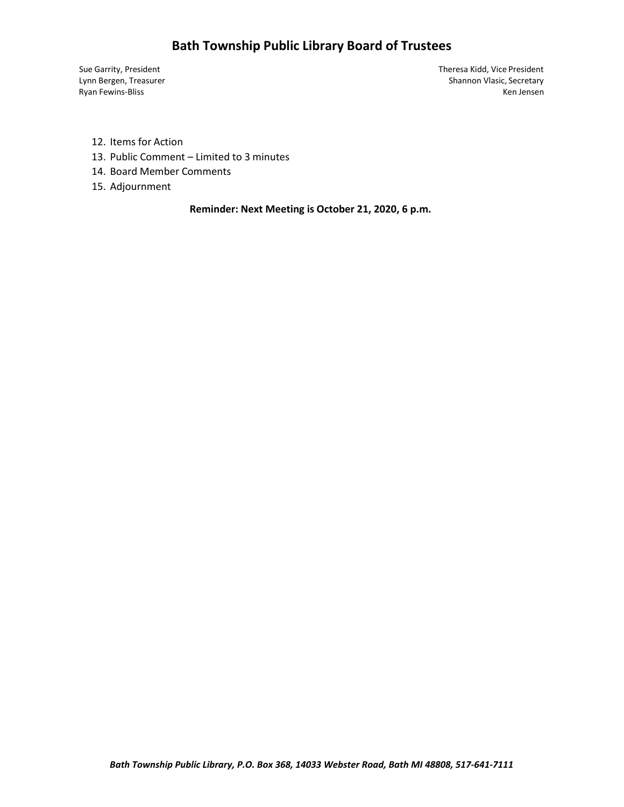# **Bath Township Public Library Board of Trustees**

Sue Garrity, President Theresa Kidd, Vice President Lynn Bergen, Treasurer Shannon Vlasic, Secretary Shannon Vlasic, Secretary Ryan Fewins-Bliss Ken Jensen (Kennedy State And Tensen and Tensen and Tensen and Tensen and Tensen and Tensen and Tensen and Tensen and Tensen and Tensen and Tensen and Tensen and Tensen and Tensen and Tensen and Tensen an

- 12. Items for Action
- 13. Public Comment Limited to 3 minutes
- 14. Board Member Comments
- 15. Adjournment

**Reminder: Next Meeting is October 21, 2020, 6 p.m.**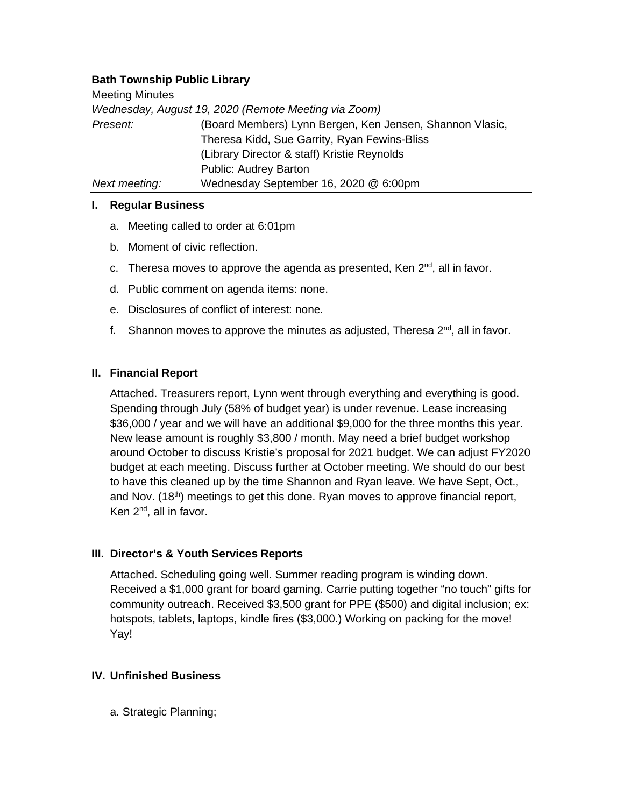# **Bath Township Public Library**

Meeting Minutes *Wednesday, August 19, 2020 (Remote Meeting via Zoom) Present:* (Board Members) Lynn Bergen, Ken Jensen, Shannon Vlasic, Theresa Kidd, Sue Garrity, Ryan Fewins-Bliss (Library Director & staff) Kristie Reynolds Public: Audrey Barton *Next meeting:* Wednesday September 16, 2020 @ 6:00pm

## **I. Regular Business**

- a. Meeting called to order at 6:01pm
- b. Moment of civic reflection.
- c. Theresa moves to approve the agenda as presented, Ken  $2^{nd}$ , all in favor.
- d. Public comment on agenda items: none.
- e. Disclosures of conflict of interest: none.
- f. Shannon moves to approve the minutes as adjusted, Theresa  $2^{nd}$ , all in favor.

## **II. Financial Report**

Attached. Treasurers report, Lynn went through everything and everything is good. Spending through July (58% of budget year) is under revenue. Lease increasing \$36,000 / year and we will have an additional \$9,000 for the three months this year. New lease amount is roughly \$3,800 / month. May need a brief budget workshop around October to discuss Kristie's proposal for 2021 budget. We can adjust FY2020 budget at each meeting. Discuss further at October meeting. We should do our best to have this cleaned up by the time Shannon and Ryan leave. We have Sept, Oct., and Nov. (18th) meetings to get this done. Ryan moves to approve financial report, Ken 2<sup>nd</sup>, all in favor.

## **III. Director's & Youth Services Reports**

Attached. Scheduling going well. Summer reading program is winding down. Received a \$1,000 grant for board gaming. Carrie putting together "no touch" gifts for community outreach. Received \$3,500 grant for PPE (\$500) and digital inclusion; ex: hotspots, tablets, laptops, kindle fires (\$3,000.) Working on packing for the move! Yay!

## **IV. Unfinished Business**

a. Strategic Planning;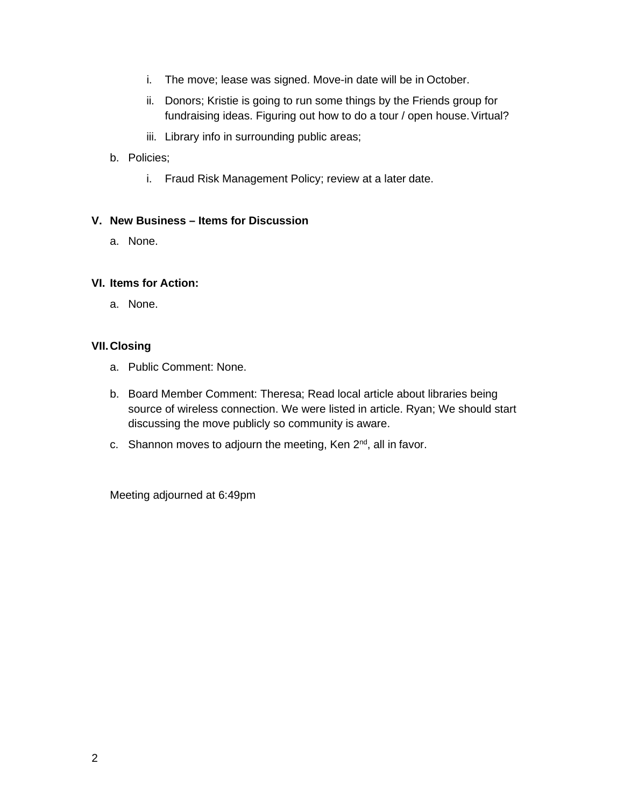- i. The move; lease was signed. Move-in date will be in October.
- ii. Donors; Kristie is going to run some things by the Friends group for fundraising ideas. Figuring out how to do a tour / open house. Virtual?
- iii. Library info in surrounding public areas;
- b. Policies;
	- i. Fraud Risk Management Policy; review at a later date.

# **V. New Business – Items for Discussion**

a. None.

## **VI. Items for Action:**

a. None.

# **VII.Closing**

- a. Public Comment: None.
- b. Board Member Comment: Theresa; Read local article about libraries being source of wireless connection. We were listed in article. Ryan; We should start discussing the move publicly so community is aware.
- c. Shannon moves to adjourn the meeting, Ken  $2^{nd}$ , all in favor.

Meeting adjourned at 6:49pm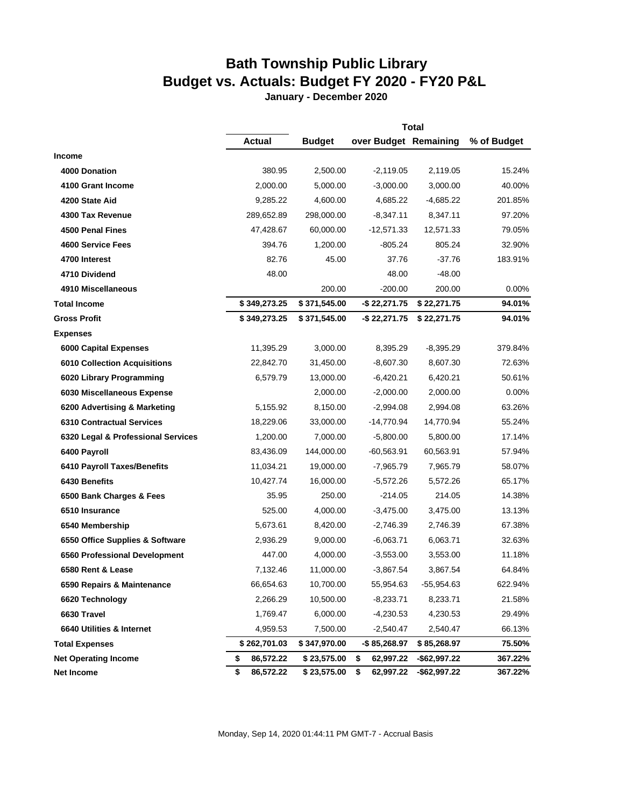# **Bath Township Public Library Budget vs. Actuals: Budget FY 2020 - FY20 P&L**

**January - December 2020**

|                                     |               | <b>Total</b> |               |                       |                 |             |
|-------------------------------------|---------------|--------------|---------------|-----------------------|-----------------|-------------|
|                                     | <b>Actual</b> |              | <b>Budget</b> | over Budget Remaining |                 | % of Budget |
| <b>Income</b>                       |               |              |               |                       |                 |             |
| 4000 Donation                       |               | 380.95       | 2,500.00      | $-2,119.05$           | 2,119.05        | 15.24%      |
| 4100 Grant Income                   |               | 2,000.00     | 5,000.00      | $-3,000.00$           | 3,000.00        | 40.00%      |
| 4200 State Aid                      |               | 9,285.22     | 4,600.00      | 4,685.22              | $-4,685.22$     | 201.85%     |
| 4300 Tax Revenue                    |               | 289,652.89   | 298,000.00    | $-8,347.11$           | 8,347.11        | 97.20%      |
| 4500 Penal Fines                    |               | 47,428.67    | 60,000.00     | $-12,571.33$          | 12,571.33       | 79.05%      |
| <b>4600 Service Fees</b>            |               | 394.76       | 1,200.00      | $-805.24$             | 805.24          | 32.90%      |
| 4700 Interest                       |               | 82.76        | 45.00         | 37.76                 | $-37.76$        | 183.91%     |
| 4710 Dividend                       |               | 48.00        |               | 48.00                 | $-48.00$        |             |
| 4910 Miscellaneous                  |               |              | 200.00        | $-200.00$             | 200.00          | 0.00%       |
| <b>Total Income</b>                 | \$349,273.25  |              | \$371,545.00  | $-$22,271.75$         | \$22,271.75     | 94.01%      |
| <b>Gross Profit</b>                 | \$349,273.25  |              | \$371,545.00  | -\$ 22,271.75         | \$22,271.75     | 94.01%      |
| <b>Expenses</b>                     |               |              |               |                       |                 |             |
| <b>6000 Capital Expenses</b>        |               | 11,395.29    | 3,000.00      | 8,395.29              | $-8,395.29$     | 379.84%     |
| <b>6010 Collection Acquisitions</b> |               | 22,842.70    | 31,450.00     | $-8,607.30$           | 8,607.30        | 72.63%      |
| 6020 Library Programming            |               | 6,579.79     | 13,000.00     | $-6,420.21$           | 6,420.21        | 50.61%      |
| 6030 Miscellaneous Expense          |               |              | 2,000.00      | $-2,000.00$           | 2,000.00        | 0.00%       |
| 6200 Advertising & Marketing        |               | 5,155.92     | 8,150.00      | $-2,994.08$           | 2,994.08        | 63.26%      |
| <b>6310 Contractual Services</b>    |               | 18,229.06    | 33,000.00     | $-14,770.94$          | 14,770.94       | 55.24%      |
| 6320 Legal & Professional Services  |               | 1,200.00     | 7,000.00      | $-5,800.00$           | 5,800.00        | 17.14%      |
| 6400 Payroll                        |               | 83,436.09    | 144,000.00    | -60,563.91            | 60,563.91       | 57.94%      |
| 6410 Payroll Taxes/Benefits         |               | 11,034.21    | 19,000.00     | $-7,965.79$           | 7,965.79        | 58.07%      |
| 6430 Benefits                       |               | 10,427.74    | 16,000.00     | $-5,572.26$           | 5,572.26        | 65.17%      |
| 6500 Bank Charges & Fees            |               | 35.95        | 250.00        | $-214.05$             | 214.05          | 14.38%      |
| 6510 Insurance                      |               | 525.00       | 4,000.00      | $-3,475.00$           | 3,475.00        | 13.13%      |
| 6540 Membership                     |               | 5,673.61     | 8,420.00      | $-2,746.39$           | 2,746.39        | 67.38%      |
| 6550 Office Supplies & Software     |               | 2,936.29     | 9,000.00      | $-6,063.71$           | 6,063.71        | 32.63%      |
| 6560 Professional Development       |               | 447.00       | 4,000.00      | $-3,553.00$           | 3,553.00        | 11.18%      |
| 6580 Rent & Lease                   |               | 7,132.46     | 11,000.00     | $-3,867.54$           | 3,867.54        | 64.84%      |
| 6590 Repairs & Maintenance          |               | 66,654.63    | 10,700.00     | 55,954.63             | $-55,954.63$    | 622.94%     |
| 6620 Technology                     |               | 2,266.29     | 10,500.00     | $-8,233.71$           | 8,233.71        | 21.58%      |
| 6630 Travel                         |               | 1,769.47     | 6,000.00      | $-4,230.53$           | 4,230.53        | 29.49%      |
| 6640 Utilities & Internet           |               | 4,959.53     | 7,500.00      | $-2,540.47$           | 2,540.47        | 66.13%      |
| <b>Total Expenses</b>               | \$262,701.03  |              | \$347,970.00  | -\$85,268.97          | \$85,268.97     | 75.50%      |
| <b>Net Operating Income</b>         | \$            | 86,572.22    | \$23,575.00   | \$<br>62,997.22       | $-$ \$62,997.22 | 367.22%     |
| <b>Net Income</b>                   | \$            | 86,572.22    | \$23,575.00   | \$<br>62,997.22       | -\$62,997.22    | 367.22%     |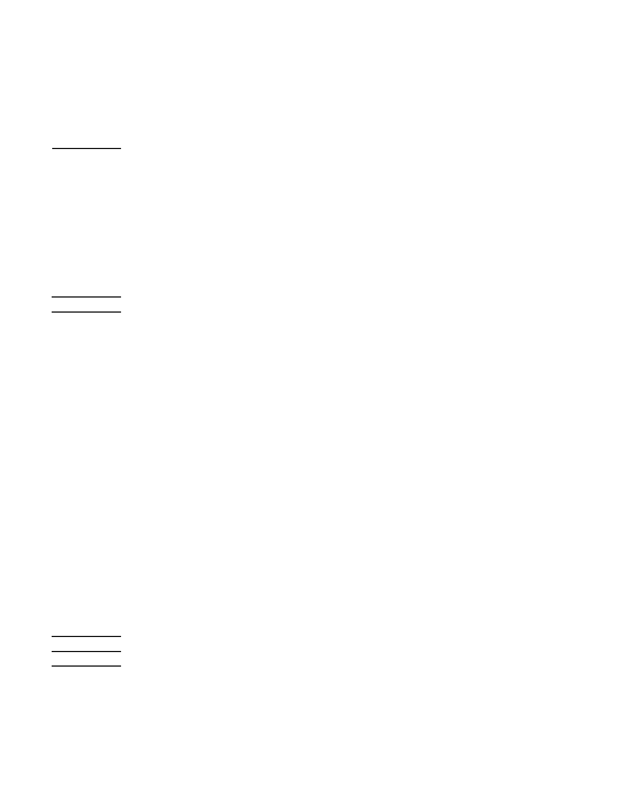$\overline{\phantom{0}}$ - $\overline{\phantom{a}}$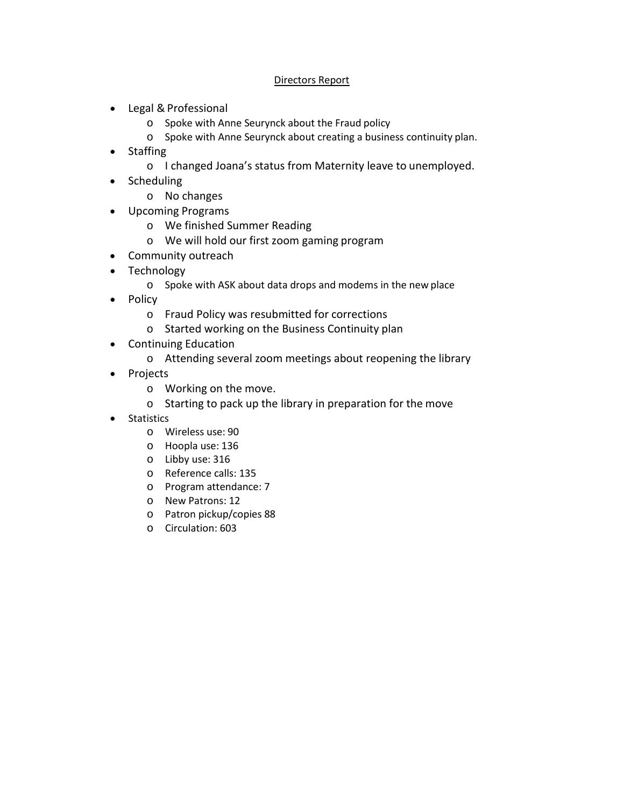## Directors Report

- Legal & Professional
	- o Spoke with Anne Seurynck about the Fraud policy
	- o Spoke with Anne Seurynck about creating a business continuity plan.
- Staffing
	- o I changed Joana's status from Maternity leave to unemployed.
- Scheduling
	- o No changes
- Upcoming Programs
	- o We finished Summer Reading
	- o We will hold our first zoom gaming program
- Community outreach
- Technology
	- o Spoke with ASK about data drops and modems in the new place
- Policy
	- o Fraud Policy was resubmitted for corrections
	- o Started working on the Business Continuity plan
- Continuing Education
	- o Attending several zoom meetings about reopening the library
- Projects
	- o Working on the move.
	- o Starting to pack up the library in preparation for the move
- Statistics
	- o Wireless use: 90
	- o Hoopla use: 136
	- o Libby use: 316
	- o Reference calls: 135
	- o Program attendance: 7
	- o New Patrons: 12
	- o Patron pickup/copies 88
	- o Circulation: 603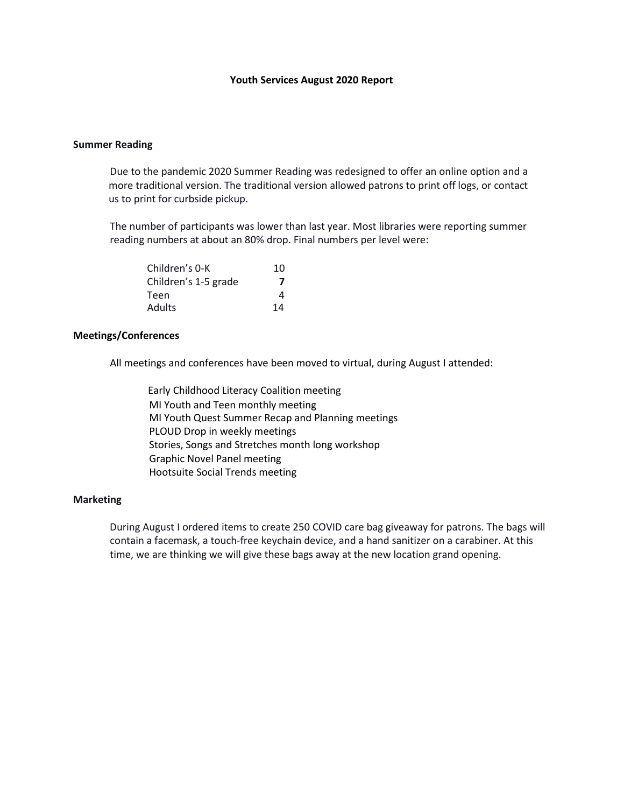## **Youth Services August 2020 Report**

### **Summer Reading**

Due to the pandemic 2020 Summer Reading was redesigned to offer an online option and a more traditional version. The traditional version allowed patrons to print off logs, or contact us to print for curbside pickup.

The number of participants was lower than last year. Most libraries were reporting summer reading numbers at about an 80% drop. Final numbers per level were:

| Children's 0-K       | 10 |
|----------------------|----|
| Children's 1-5 grade |    |
| Teen                 | 4  |
| Adults               | 14 |

## **Meetings/Conferences**

All meetings and conferences have been moved to virtual, during August I attended:

Early Childhood Literacy Coalition meeting MI Youth and Teen monthly meeting MI Youth Quest Summer Recap and Planning meetings PLOUD Drop in weekly meetings Stories, Songs and Stretches month long workshop Graphic Novel Panel meeting Hootsuite Social Trends meeting

## **Marketing**

During August I ordered items to create 250 COVID care bag giveaway for patrons. The bags will contain a facemask, a touch-free keychain device, and a hand sanitizer on a carabiner. At this time, we are thinking we will give these bags away at the new location grand opening.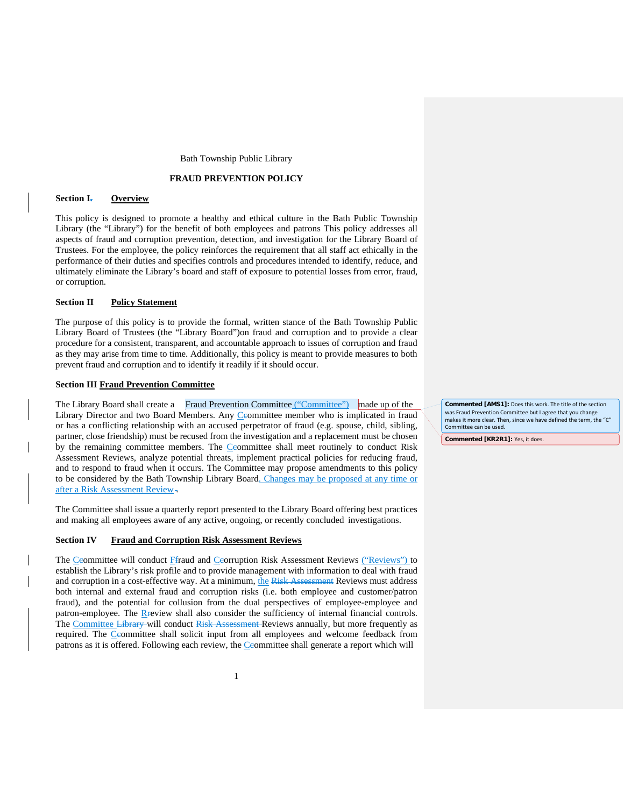#### Bath Township Public Library

#### **FRAUD PREVENTION POLICY**

#### **Section I. Overview**

This policy is designed to promote a healthy and ethical culture in the Bath Public Township Library (the "Library") for the benefit of both employees and patrons This policy addresses all aspects of fraud and corruption prevention, detection, and investigation for the Library Board of Trustees. For the employee, the policy reinforces the requirement that all staff act ethically in the performance of their duties and specifies controls and procedures intended to identify, reduce, and ultimately eliminate the Library's board and staff of exposure to potential losses from error, fraud, or corruption.

#### **Section II Policy Statement**

The purpose of this policy is to provide the formal, written stance of the Bath Township Public Library Board of Trustees (the "Library Board")on fraud and corruption and to provide a clear procedure for a consistent, transparent, and accountable approach to issues of corruption and fraud as they may arise from time to time. Additionally, this policy is meant to provide measures to both prevent fraud and corruption and to identify it readily if it should occur.

#### **Section III Fraud Prevention Committee**

The Library Board shall create a Fraud Prevention Committee ("Committee") made up of the commented [AMS1]: Does this work. The title of the section Library Director and two Board Members. Any Ceommittee member who is implicated in fraud or has a conflicting relationship with an accused perpetrator of fraud (e.g. spouse, child, sibling, partner, close friendship) must be recused from the investigation and a replacement must be chosen by the remaining committee members. The Ceommittee shall meet routinely to conduct Risk Assessment Reviews, analyze potential threats, implement practical policies for reducing fraud, and to respond to fraud when it occurs. The Committee may propose amendments to this policy to be considered by the Bath Township Library Board. Changes may be proposed at any time or after a Risk Assessment Review .

The Committee shall issue a quarterly report presented to the Library Board offering best practices and making all employees aware of any active, ongoing, or recently concluded investigations.

#### **Section IV Fraud and Corruption Risk Assessment Reviews**

The Ceommittee will conduct Etraud and Ceorruption Risk Assessment Reviews ("Reviews") to establish the Library's risk profile and to provide management with information to deal with fraud and corruption in a cost-effective way. At a minimum, the Risk Assessment Reviews must address both internal and external fraud and corruption risks (i.e. both employee and customer/patron fraud), and the potential for collusion from the dual perspectives of employee-employee and patron-employee. The Rreview shall also consider the sufficiency of internal financial controls. The Committee Library will conduct Risk Assessment Reviews annually, but more frequently as required. The Ceommittee shall solicit input from all employees and welcome feedback from patrons as it is offered. Following each review, the Ceommittee shall generate a report which will

was Fraud Prevention Committee but I agree that you change makes it more clear. Then, since we have defined the term, the "C" Committee can be used.

**Commented [KR2R1]:** Yes, it does.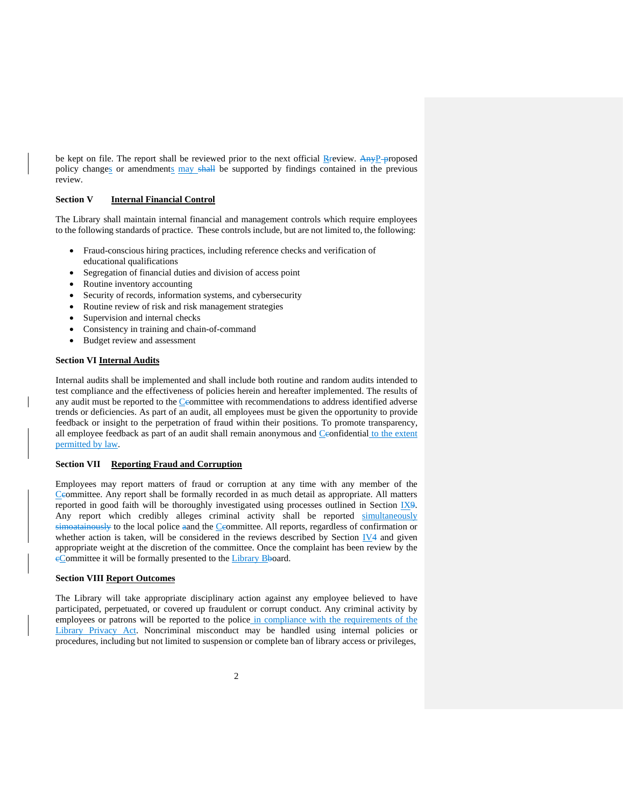be kept on file. The report shall be reviewed prior to the next official Rreview. AnyP-proposed policy changes or amendments may shall be supported by findings contained in the previous review.

#### **Section V Internal Financial Control**

The Library shall maintain internal financial and management controls which require employees to the following standards of practice. These controls include, but are not limited to, the following:

- Fraud-conscious hiring practices, including reference checks and verification of educational qualifications
- Segregation of financial duties and division of access point
- Routine inventory accounting
- Security of records, information systems, and cybersecurity
- Routine review of risk and risk management strategies
- Supervision and internal checks
- Consistency in training and chain-of-command
- Budget review and assessment

#### **Section VI Internal Audits**

Internal audits shall be implemented and shall include both routine and random audits intended to test compliance and the effectiveness of policies herein and hereafter implemented. The results of any audit must be reported to the Ceommittee with recommendations to address identified adverse trends or deficiencies. As part of an audit, all employees must be given the opportunity to provide feedback or insight to the perpetration of fraud within their positions. To promote transparency, all employee feedback as part of an audit shall remain anonymous and Ceonfidential to the extent permitted by law.

#### **Section VII Reporting Fraud and Corruption**

Employees may report matters of fraud or corruption at any time with any member of the Ccommittee. Any report shall be formally recorded in as much detail as appropriate. All matters reported in good faith will be thoroughly investigated using processes outlined in Section IX9. Any report which credibly alleges criminal activity shall be reported simultaneously simoatainously to the local police aand the Ceommittee. All reports, regardless of confirmation or whether action is taken, will be considered in the reviews described by Section  $\underline{IV4}$  and given appropriate weight at the discretion of the committee. Once the complaint has been review by the eCommittee it will be formally presented to the Library Bboard.

#### **Section VIII Report Outcomes**

The Library will take appropriate disciplinary action against any employee believed to have participated, perpetuated, or covered up fraudulent or corrupt conduct. Any criminal activity by employees or patrons will be reported to the police in compliance with the requirements of the Library Privacy Act. Noncriminal misconduct may be handled using internal policies or procedures, including but not limited to suspension or complete ban of library access or privileges,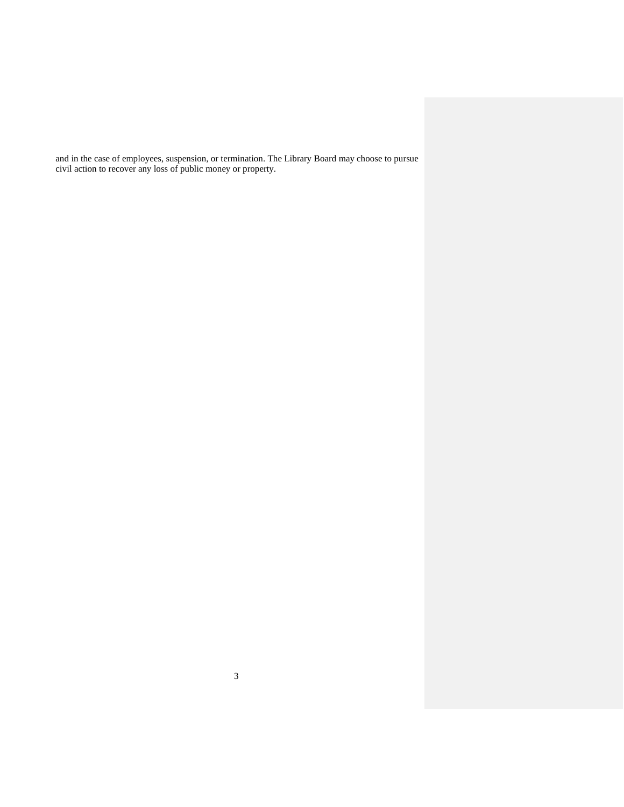and in the case of employees, suspension, or termination. The Library Board may choose to pursue civil action to recover any loss of public money or property.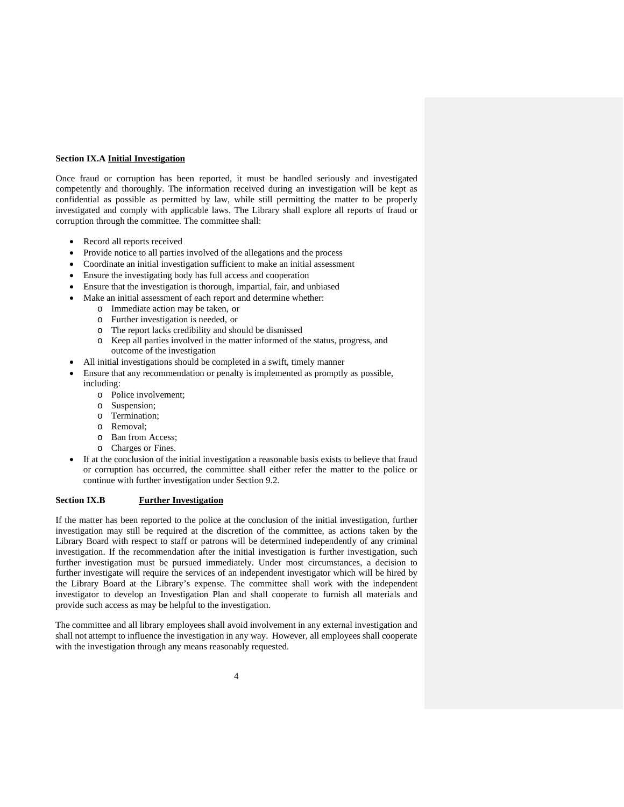#### **Section IX.A Initial Investigation**

Once fraud or corruption has been reported, it must be handled seriously and investigated competently and thoroughly. The information received during an investigation will be kept as confidential as possible as permitted by law, while still permitting the matter to be properly investigated and comply with applicable laws. The Library shall explore all reports of fraud or corruption through the committee. The committee shall:

- Record all reports received
- Provide notice to all parties involved of the allegations and the process
- Coordinate an initial investigation sufficient to make an initial assessment
- Ensure the investigating body has full access and cooperation
- Ensure that the investigation is thorough, impartial, fair, and unbiased
- Make an initial assessment of each report and determine whether:
	- o Immediate action may be taken, or
	- o Further investigation is needed, or
	- o The report lacks credibility and should be dismissed
	- o Keep all parties involved in the matter informed of the status, progress, and outcome of the investigation
- All initial investigations should be completed in a swift, timely manner
- Ensure that any recommendation or penalty is implemented as promptly as possible, including:
	- o Police involvement;
	- o Suspension;
	- o Termination;
	- o Removal;
	- o Ban from Access;
	- o Charges or Fines.
- If at the conclusion of the initial investigation a reasonable basis exists to believe that fraud or corruption has occurred, the committee shall either refer the matter to the police or continue with further investigation under Section 9.2.

#### **Section IX.B Further Investigation**

If the matter has been reported to the police at the conclusion of the initial investigation, further investigation may still be required at the discretion of the committee, as actions taken by the Library Board with respect to staff or patrons will be determined independently of any criminal investigation. If the recommendation after the initial investigation is further investigation, such further investigation must be pursued immediately. Under most circumstances, a decision to further investigate will require the services of an independent investigator which will be hired by the Library Board at the Library's expense. The committee shall work with the independent investigator to develop an Investigation Plan and shall cooperate to furnish all materials and provide such access as may be helpful to the investigation.

The committee and all library employees shall avoid involvement in any external investigation and shall not attempt to influence the investigation in any way. However, all employees shall cooperate with the investigation through any means reasonably requested.